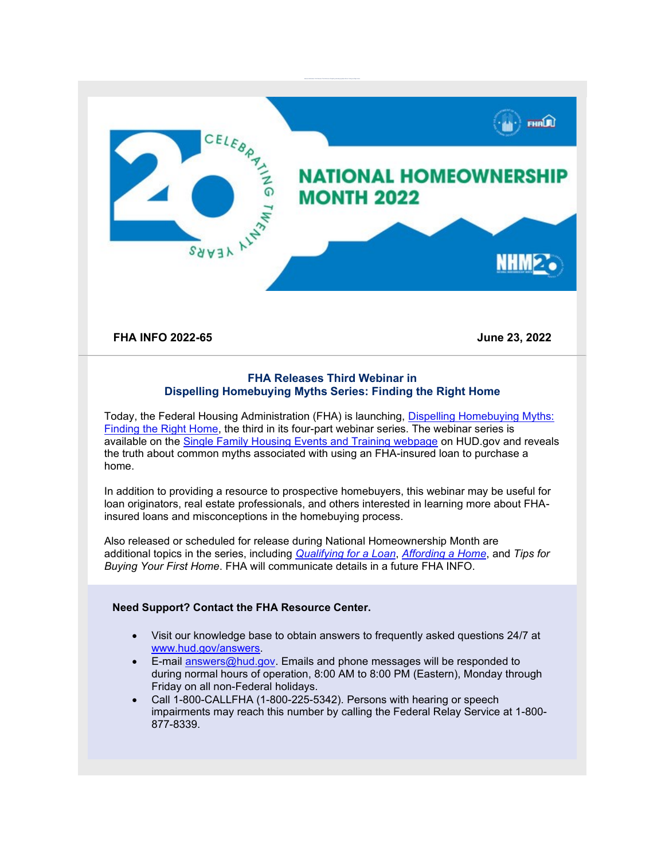

## **Need Support? Contact the FHA Resource Center.**

- Visit our knowledge base to obtain answers to frequently asked questions 24/7 at [www.hud.gov/answers.](http://www.hud.gov/answers)
- E-mail [answers@hud.gov.](mailto:answers@hud.gov) Emails and phone messages will be responded to during normal hours of operation, 8:00 AM to 8:00 PM (Eastern), Monday through Friday on all non-Federal holidays.
- Call 1-800-CALLFHA (1-800-225-5342). Persons with hearing or speech impairments may reach this number by calling the Federal Relay Service at 1-800- 877-8339.